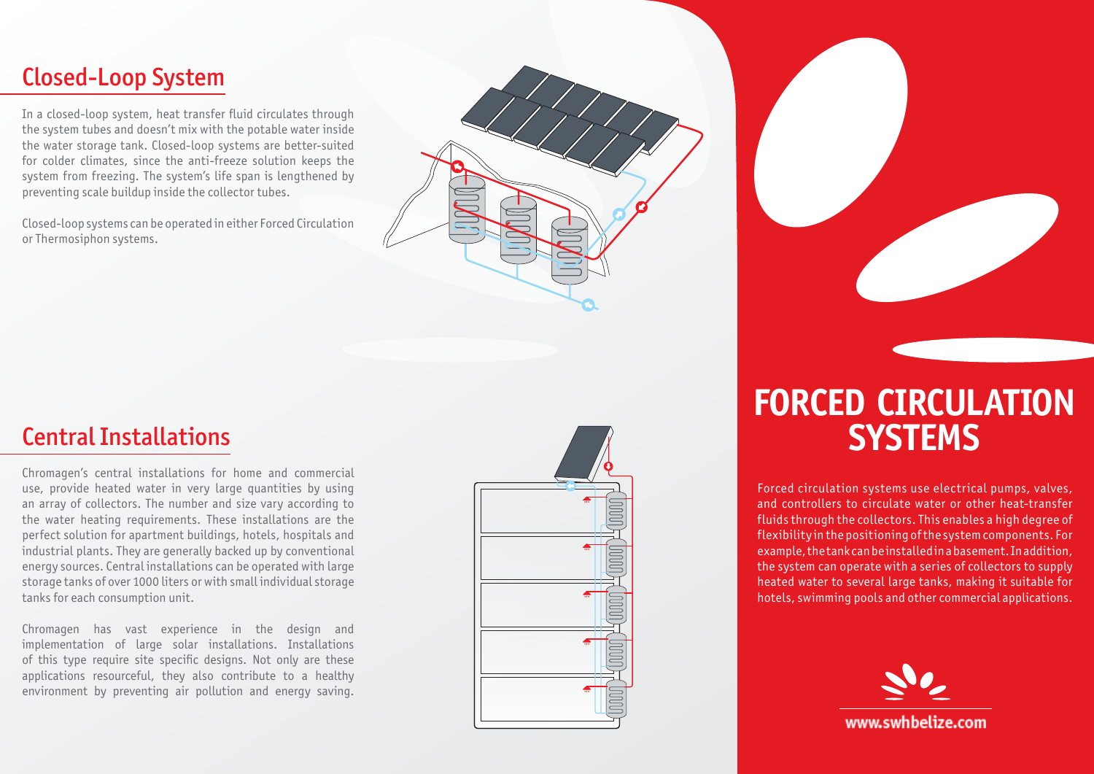## Closed-Loop System

In a closed-loop system, heat transfer fluid circulates through the system tubes and doesn't mix with the potable water inside the water storage tank. Closed-loop systems are better-suited for colder climates, since the anti-freeze solution keeps the system from freezing. The system's life span is lengthened by preventing scale buildup inside the collector tubes.

Closed-loop systems can be operated in either Forced Circulation or Thermosiphon systems.

## **Central Installations**

Chromagen's central installations for home and commercial use, provide heated water in very large quantities by using an array of collectors. The number and size vary according to the water heating requirements. These installations are the perfect solution for apartment buildings, hotels, hospitals and industrial plants. They are generally backed up by conventional energy sources. Central installations can be operated with large storage tanks of over 1000 liters or with small individual storage tanks for each consumption unit.

Chromagen has vast experience in the design and implementation of large solar installations. Installations of this type require site specific designs. Not only are these applications resourceful, they also contribute to a healthy environment by preventing air pollution and energy saving.



## **FORCED CIRCULATION Systems**

Forced circulation systems use electrical pumps, valves, and controllers to circulate water or other heat-transfer fluids through the collectors. This enables a high degree of flexibility in the positioning of the system components. For example, the tank can be installed in a basement. In addition, the system can operate with a series of collectors to supply heated water to several large tanks, making it suitable for hotels, swimming pools and other commercial applications.